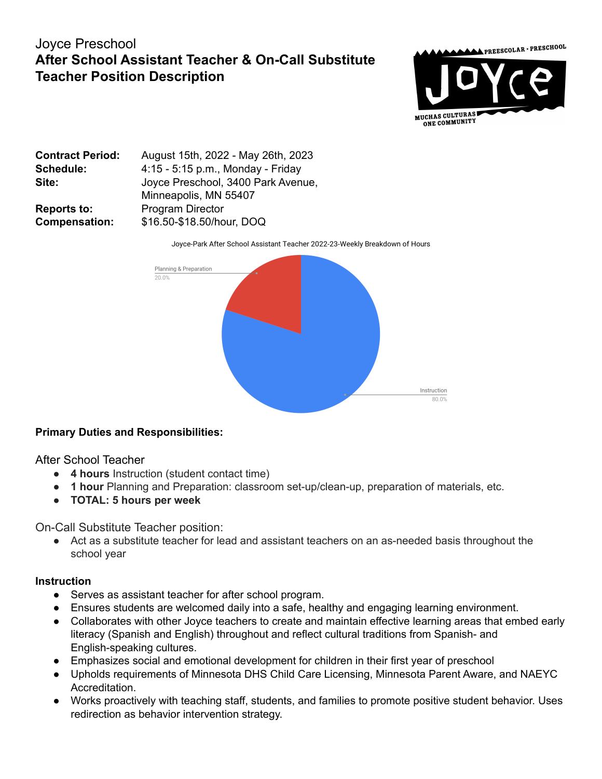# Joyce Preschool **After School Assistant Teacher & On-Call Substitute Teacher Position Description**



| <b>Contract Period:</b> | August 15th, 2022 - May 26th, 2023 |
|-------------------------|------------------------------------|
| <b>Schedule:</b>        | 4:15 - 5:15 p.m., Monday - Friday  |
| Site:                   | Joyce Preschool, 3400 Park Avenue, |
|                         | Minneapolis, MN 55407              |
| <b>Reports to:</b>      | <b>Program Director</b>            |
| <b>Compensation:</b>    | \$16.50-\$18.50/hour, DOQ          |

Joyce-Park After School Assistant Teacher 2022-23-Weekly Breakdown of Hours



## **Primary Duties and Responsibilities:**

After School Teacher

- **4 hours** Instruction (student contact time)
- **1 hour** Planning and Preparation: classroom set-up/clean-up, preparation of materials, etc.
- **● TOTAL: 5 hours per week**

On-Call Substitute Teacher position:

● Act as a substitute teacher for lead and assistant teachers on an as-needed basis throughout the school year

#### **Instruction**

- Serves as assistant teacher for after school program.
- Ensures students are welcomed daily into a safe, healthy and engaging learning environment.
- Collaborates with other Joyce teachers to create and maintain effective learning areas that embed early literacy (Spanish and English) throughout and reflect cultural traditions from Spanish- and English-speaking cultures.
- Emphasizes social and emotional development for children in their first year of preschool
- Upholds requirements of Minnesota DHS Child Care Licensing, Minnesota Parent Aware, and NAEYC Accreditation.
- Works proactively with teaching staff, students, and families to promote positive student behavior. Uses redirection as behavior intervention strategy.